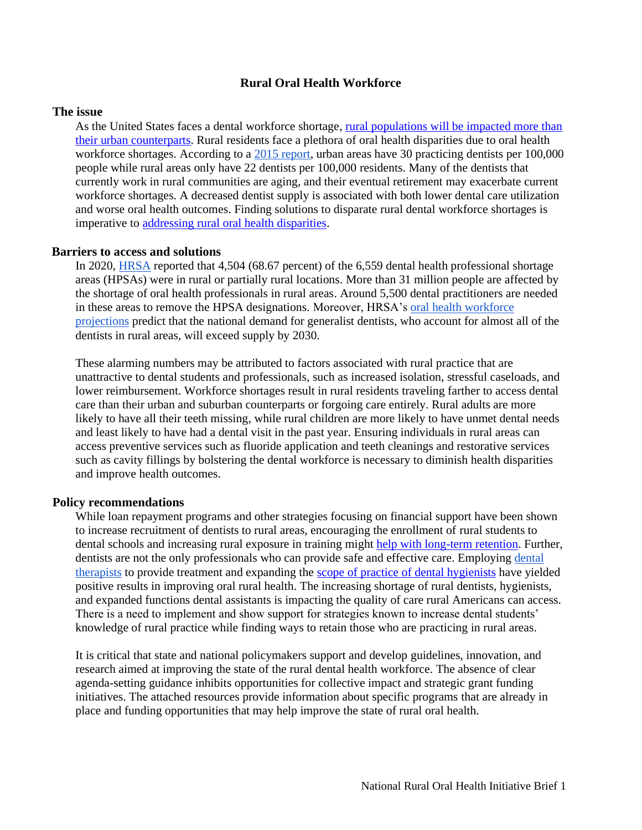# **Rural Oral Health Workforce**

### **The issue**

As the United States faces a dental workforce shortage, [rural populations will be impacted more than](https://data.hrsa.gov/Default/GenerateHPSAQuarterlyReport)  [their urban counterparts.](https://data.hrsa.gov/Default/GenerateHPSAQuarterlyReport) Rural residents face a plethora of oral health disparities due to oral health workforce shortages. According to a [2015 report,](http://depts.washington.edu/uwrhrc/uploads/RHRC_FR135_Doescher.pdf) urban areas have 30 practicing dentists per 100,000 people while rural areas only have 22 dentists per 100,000 residents. Many of the dentists that currently work in rural communities are aging, and their eventual retirement may exacerbate current workforce shortages. A decreased dentist supply is associated with both lower dental care utilization and worse oral health outcomes. Finding solutions to disparate rural dental workforce shortages is imperative to [addressing rural oral health disparities.](http://depts.washington.edu/uwrhrc/uploads/RHRC_FR135_Doescher.pdf)

### **Barriers to access and solutions**

In 2020, [HRSA](https://data.hrsa.gov/topics/health-workforce/shortage-areas) reported that 4,504 (68.67 percent) of the 6,559 dental health professional shortage areas (HPSAs) were in rural or partially rural locations. More than 31 million people are affected by the shortage of oral health professionals in rural areas. Around 5,500 dental practitioners are needed in these areas to remove the HPSA designations. Moreover, HRSA's [oral health workforce](https://bhw.hrsa.gov/sites/default/files/bureau-health-workforce/data-research/oral-health-2017-2030.pdf)  [projections](https://bhw.hrsa.gov/sites/default/files/bureau-health-workforce/data-research/oral-health-2017-2030.pdf) predict that the national demand for generalist dentists, who account for almost all of the dentists in rural areas, will exceed supply by 2030.

These alarming numbers may be attributed to factors associated with rural practice that are unattractive to dental students and professionals, such as increased isolation, stressful caseloads, and lower reimbursement. Workforce shortages result in rural residents traveling farther to access dental care than their urban and suburban counterparts or forgoing care entirely. Rural adults are more likely to have all their teeth missing, while rural children are more likely to have unmet dental needs and least likely to have had a dental visit in the past year. Ensuring individuals in rural areas can access preventive services such as fluoride application and teeth cleanings and restorative services such as cavity fillings by bolstering the dental workforce is necessary to diminish health disparities and improve health outcomes.

#### **Policy recommendations**

While loan repayment programs and other strategies focusing on financial support have been shown to increase recruitment of dentists to rural areas, encouraging the enrollment of rural students to dental schools and increasing rural exposure in training might [help with long-term retention.](http://www.oralhealthworkforce.org/wp-content/uploads/2020/10/OHWRC_Dental_Workforce_Policy_for_Rural_Communities_2020.pdf) Further, dentists are not the only professionals who can provide safe and effective care. Employing dental [therapists](http://frontierus.org/wp-content/uploads/2019/10/FREP-Dental_Therapists-2012.pdf) to provide treatment and expanding the [scope of practice of dental hygienists](https://scopeofpracticepolicy.org/practitioners/oral-health-providers/) have yielded positive results in improving oral rural health. The increasing shortage of rural dentists, hygienists, and expanded functions dental assistants is impacting the quality of care rural Americans can access. There is a need to implement and show support for strategies known to increase dental students' knowledge of rural practice while finding ways to retain those who are practicing in rural areas.

It is critical that state and national policymakers support and develop guidelines, innovation, and research aimed at improving the state of the rural dental health workforce. The absence of clear agenda-setting guidance inhibits opportunities for collective impact and strategic grant funding initiatives. The attached resources provide information about specific programs that are already in place and funding opportunities that may help improve the state of rural oral health.